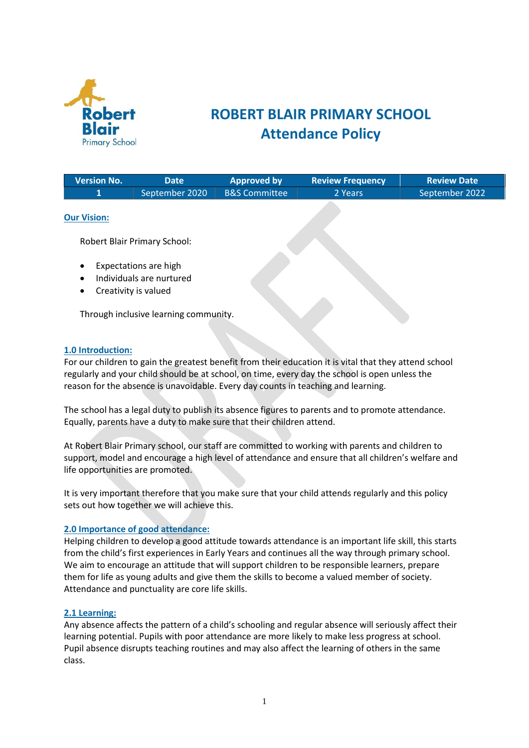

### **ROBERT BLAIR PRIMARY SCHOOL Attendance Policy**

| <b>Version No.</b> | Date           | <b>Approved by</b>     | <b>Review Frequency</b> | <b>Review Date</b> |
|--------------------|----------------|------------------------|-------------------------|--------------------|
|                    | September 2020 | B&S Committee <b>\</b> | 2 Years                 | September 2022     |
|                    |                |                        |                         |                    |

#### **Our Vision:**

Robert Blair Primary School:

- Expectations are high
- Individuals are nurtured
- Creativity is valued

Through inclusive learning community.

#### **1.0 Introduction:**

For our children to gain the greatest benefit from their education it is vital that they attend school regularly and your child should be at school, on time, every day the school is open unless the reason for the absence is unavoidable. Every day counts in teaching and learning.

The school has a legal duty to publish its absence figures to parents and to promote attendance. Equally, parents have a duty to make sure that their children attend.

At Robert Blair Primary school, our staff are committed to working with parents and children to support, model and encourage a high level of attendance and ensure that all children's welfare and life opportunities are promoted.

It is very important therefore that you make sure that your child attends regularly and this policy sets out how together we will achieve this.

#### **2.0 Importance of good attendance:**

Helping children to develop a good attitude towards attendance is an important life skill, this starts from the child's first experiences in Early Years and continues all the way through primary school. We aim to encourage an attitude that will support children to be responsible learners, prepare them for life as young adults and give them the skills to become a valued member of society. Attendance and punctuality are core life skills.

#### **2.1 Learning:**

Any absence affects the pattern of a child's schooling and regular absence will seriously affect their learning potential. Pupils with poor attendance are more likely to make less progress at school. Pupil absence disrupts teaching routines and may also affect the learning of others in the same class.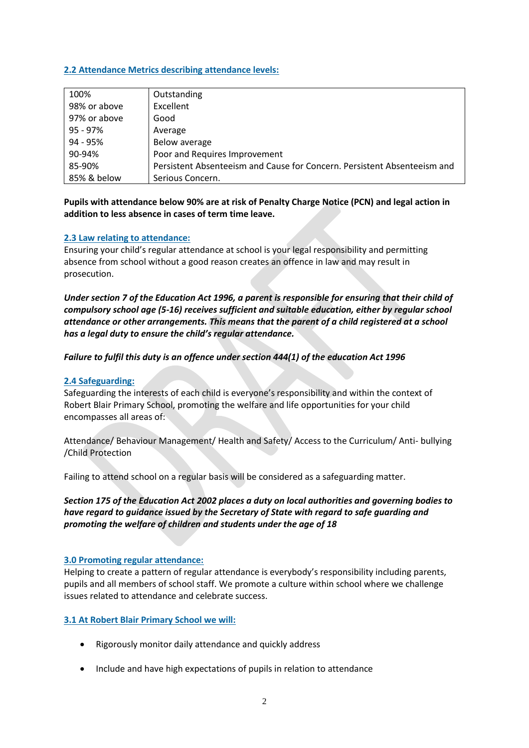#### **2.2 Attendance Metrics describing attendance levels:**

| 100%         | Outstanding                                                              |
|--------------|--------------------------------------------------------------------------|
| 98% or above | Excellent                                                                |
| 97% or above | Good                                                                     |
| 95 - 97%     | Average                                                                  |
| 94 - 95%     | Below average                                                            |
| 90-94%       | Poor and Requires Improvement                                            |
| 85-90%       | Persistent Absenteeism and Cause for Concern. Persistent Absenteeism and |
| 85% & below  | Serious Concern.                                                         |

**Pupils with attendance below 90% are at risk of Penalty Charge Notice (PCN) and legal action in addition to less absence in cases of term time leave.**

#### **2.3 Law relating to attendance:**

Ensuring your child's regular attendance at school is your legal responsibility and permitting absence from school without a good reason creates an offence in law and may result in prosecution.

*Under section 7 of the Education Act 1996, a parent is responsible for ensuring that their child of compulsory school age (5-16) receives sufficient and suitable education, either by regular school attendance or other arrangements. This means that the parent of a child registered at a school has a legal duty to ensure the child's regular attendance.* 

#### *Failure to fulfil this duty is an offence under section 444(1) of the education Act 1996*

#### **2.4 Safeguarding:**

Safeguarding the interests of each child is everyone's responsibility and within the context of Robert Blair Primary School, promoting the welfare and life opportunities for your child encompasses all areas of:

Attendance/ Behaviour Management/ Health and Safety/ Access to the Curriculum/ Anti- bullying /Child Protection

Failing to attend school on a regular basis will be considered as a safeguarding matter.

*Section 175 of the Education Act 2002 places a duty on local authorities and governing bodies to have regard to guidance issued by the Secretary of State with regard to safe guarding and promoting the welfare of children and students under the age of 18*

#### **3.0 Promoting regular attendance:**

Helping to create a pattern of regular attendance is everybody's responsibility including parents, pupils and all members of school staff. We promote a culture within school where we challenge issues related to attendance and celebrate success.

#### **3.1 At Robert Blair Primary School we will:**

- Rigorously monitor daily attendance and quickly address
- Include and have high expectations of pupils in relation to attendance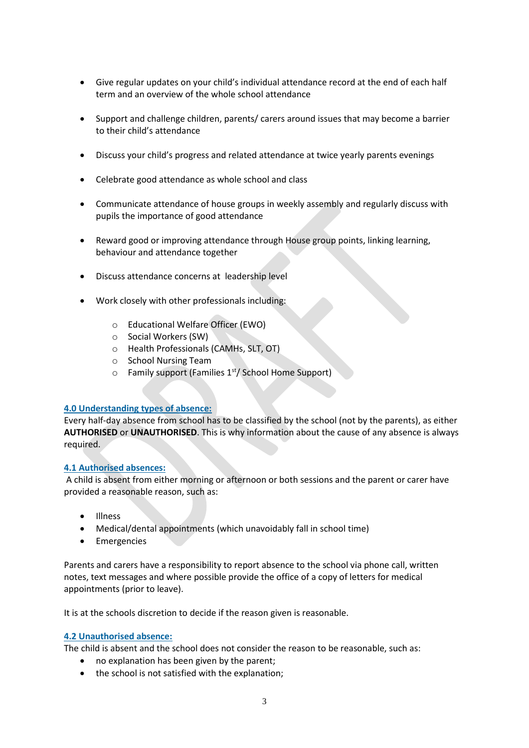- Give regular updates on your child's individual attendance record at the end of each half term and an overview of the whole school attendance
- Support and challenge children, parents/ carers around issues that may become a barrier to their child's attendance
- Discuss your child's progress and related attendance at twice yearly parents evenings
- Celebrate good attendance as whole school and class
- Communicate attendance of house groups in weekly assembly and regularly discuss with pupils the importance of good attendance
- Reward good or improving attendance through House group points, linking learning, behaviour and attendance together
- Discuss attendance concerns at leadership level
- Work closely with other professionals including:
	- o Educational Welfare Officer (EWO)
	- o Social Workers (SW)
	- o Health Professionals (CAMHs, SLT, OT)
	- o School Nursing Team
	- $\circ$  Family support (Families 1<sup>st</sup>/ School Home Support)

#### **4.0 Understanding types of absence:**

Every half-day absence from school has to be classified by the school (not by the parents), as either **AUTHORISED** or **UNAUTHORISED**. This is why information about the cause of any absence is always required.

#### **4.1 Authorised absences:**

A child is absent from either morning or afternoon or both sessions and the parent or carer have provided a reasonable reason, such as:

- Illness
- Medical/dental appointments (which unavoidably fall in school time)
- Emergencies

Parents and carers have a responsibility to report absence to the school via phone call, written notes, text messages and where possible provide the office of a copy of letters for medical appointments (prior to leave).

It is at the schools discretion to decide if the reason given is reasonable.

#### **4.2 Unauthorised absence:**

The child is absent and the school does not consider the reason to be reasonable, such as:

- no explanation has been given by the parent;
- the school is not satisfied with the explanation;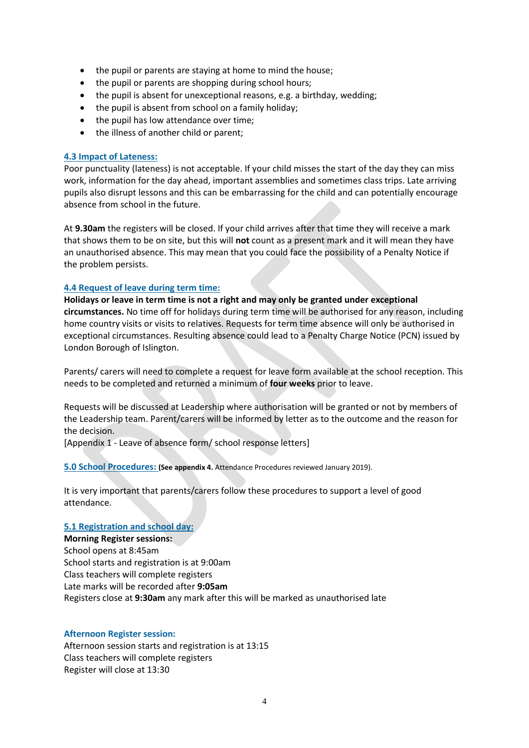- the pupil or parents are staying at home to mind the house;
- the pupil or parents are shopping during school hours;
- the pupil is absent for unexceptional reasons, e.g. a birthday, wedding;
- the pupil is absent from school on a family holiday;
- the pupil has low attendance over time;
- the illness of another child or parent;

#### **4.3 Impact of Lateness:**

Poor punctuality (lateness) is not acceptable. If your child misses the start of the day they can miss work, information for the day ahead, important assemblies and sometimes class trips. Late arriving pupils also disrupt lessons and this can be embarrassing for the child and can potentially encourage absence from school in the future.

At **9.30am** the registers will be closed. If your child arrives after that time they will receive a mark that shows them to be on site, but this will **not** count as a present mark and it will mean they have an unauthorised absence. This may mean that you could face the possibility of a Penalty Notice if the problem persists.

#### **4.4 Request of leave during term time:**

**Holidays or leave in term time is not a right and may only be granted under exceptional circumstances.** No time off for holidays during term time will be authorised for any reason, including home country visits or visits to relatives. Requests for term time absence will only be authorised in exceptional circumstances. Resulting absence could lead to a Penalty Charge Notice (PCN) issued by London Borough of Islington.

Parents/ carers will need to complete a request for leave form available at the school reception. This needs to be completed and returned a minimum of **four weeks** prior to leave.

Requests will be discussed at Leadership where authorisation will be granted or not by members of the Leadership team. Parent/carers will be informed by letter as to the outcome and the reason for the decision.

[Appendix 1 - Leave of absence form/ school response letters]

**5.0 School Procedures: (See appendix 4.** Attendance Procedures reviewed January 2019).

It is very important that parents/carers follow these procedures to support a level of good attendance.

#### **5.1 Registration and school day:**

**Morning Register sessions:** School opens at 8:45am School starts and registration is at 9:00am Class teachers will complete registers Late marks will be recorded after **9:05am** Registers close at **9:30am** any mark after this will be marked as unauthorised late

#### **Afternoon Register session:**

Afternoon session starts and registration is at 13:15 Class teachers will complete registers Register will close at 13:30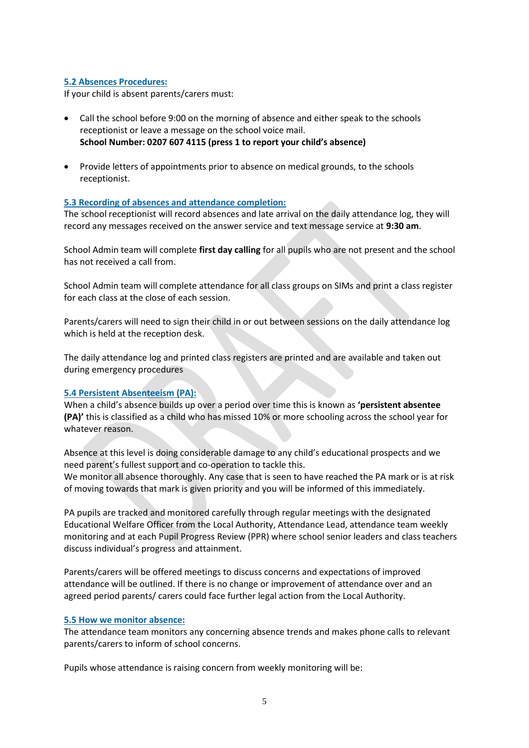#### **5.2 Absences Procedures:**

If your child is absent parents/carers must:

- Call the school before 9:00 on the morning of absence and either speak to the schools receptionist or leave a message on the school voice mail. **School Number: 0207 607 4115 (press 1 to report your child's absence)**
- Provide letters of appointments prior to absence on medical grounds, to the schools receptionist.

#### **5.3 Recording of absences and attendance completion:**

The school receptionist will record absences and late arrival on the daily attendance log, they will record any messages received on the answer service and text message service at **9:30 am**.

School Admin team will complete **first day calling** for all pupils who are not present and the school has not received a call from.

School Admin team will complete attendance for all class groups on SIMs and print a class register for each class at the close of each session.

Parents/carers will need to sign their child in or out between sessions on the daily attendance log which is held at the reception desk.

The daily attendance log and printed class registers are printed and are available and taken out during emergency procedures

#### **5.4 Persistent Absenteeism (PA):**

When a child's absence builds up over a period over time this is known as **'persistent absentee (PA)'** this is classified as a child who has missed 10% or more schooling across the school year for whatever reason.

Absence at this level is doing considerable damage to any child's educational prospects and we need parent's fullest support and co-operation to tackle this. We monitor all absence thoroughly. Any case that is seen to have reached the PA mark or is at risk

of moving towards that mark is given priority and you will be informed of this immediately.

PA pupils are tracked and monitored carefully through regular meetings with the designated Educational Welfare Officer from the Local Authority, Attendance Lead, attendance team weekly monitoring and at each Pupil Progress Review (PPR) where school senior leaders and class teachers discuss individual's progress and attainment.

Parents/carers will be offered meetings to discuss concerns and expectations of improved attendance will be outlined. If there is no change or improvement of attendance over and an agreed period parents/ carers could face further legal action from the Local Authority.

#### **5.5 How we monitor absence:**

The attendance team monitors any concerning absence trends and makes phone calls to relevant parents/carers to inform of school concerns.

Pupils whose attendance is raising concern from weekly monitoring will be: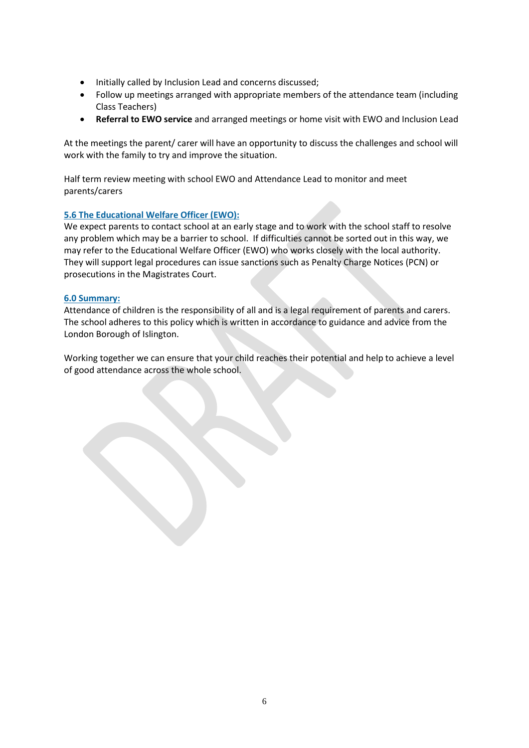- Initially called by Inclusion Lead and concerns discussed;
- Follow up meetings arranged with appropriate members of the attendance team (including Class Teachers)
- **Referral to EWO service** and arranged meetings or home visit with EWO and Inclusion Lead

At the meetings the parent/ carer will have an opportunity to discuss the challenges and school will work with the family to try and improve the situation.

Half term review meeting with school EWO and Attendance Lead to monitor and meet parents/carers

#### **5.6 The Educational Welfare Officer (EWO):**

We expect parents to contact school at an early stage and to work with the school staff to resolve any problem which may be a barrier to school. If difficulties cannot be sorted out in this way, we may refer to the Educational Welfare Officer (EWO) who works closely with the local authority. They will support legal procedures can issue sanctions such as Penalty Charge Notices (PCN) or prosecutions in the Magistrates Court.

#### **6.0 Summary:**

Attendance of children is the responsibility of all and is a legal requirement of parents and carers. The school adheres to this policy which is written in accordance to guidance and advice from the London Borough of Islington.

Working together we can ensure that your child reaches their potential and help to achieve a level of good attendance across the whole school.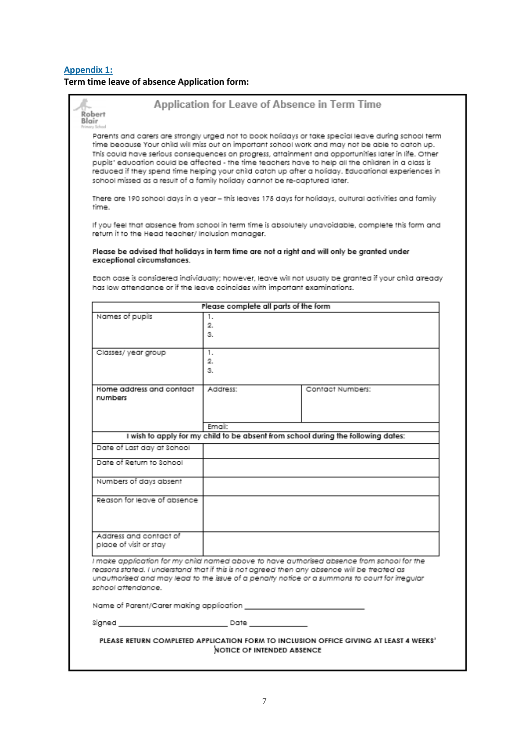#### **Appendix 1: Term time leave of absence Application form:**

| Robert<br>Blair                                                                                                   | Application for Leave of Absence in Term Time |                                                                                                                                                                                                                                                                                                                                                                                                                                                                                                                            |
|-------------------------------------------------------------------------------------------------------------------|-----------------------------------------------|----------------------------------------------------------------------------------------------------------------------------------------------------------------------------------------------------------------------------------------------------------------------------------------------------------------------------------------------------------------------------------------------------------------------------------------------------------------------------------------------------------------------------|
| school missed as a result of a family holiday cannot be re-captured later.                                        |                                               | Parents and carers are strongly urged not to book holidays or take special leave during school term<br>time because Your child will miss out on important school work and may not be able to catch up.<br>This could have serious consequences on progress, attainment and opportunities later in life. Other<br>pupils' education could be affected - the time teachers have to help all the children in a class is<br>reduced if they spend time helping your child catch up after a holiday. Educational experiences in |
| time                                                                                                              |                                               | There are 190 school days in a year - this leaves 175 days for holidays, cultural activities and family                                                                                                                                                                                                                                                                                                                                                                                                                    |
| return it to the Head teacher/ Inclusion manager.                                                                 |                                               | If you feel that absence from school in term time is absolutely unavoidable, complete this form and                                                                                                                                                                                                                                                                                                                                                                                                                        |
| exceptional circumstances.                                                                                        |                                               | Please be advised that holidays in term time are not a right and will only be granted under                                                                                                                                                                                                                                                                                                                                                                                                                                |
| has low attendance or if the leave coincides with important examinations.                                         |                                               | Each case is considered individually; however, leave will not usually be granted if your child already                                                                                                                                                                                                                                                                                                                                                                                                                     |
|                                                                                                                   | Please complete all parts of the form         |                                                                                                                                                                                                                                                                                                                                                                                                                                                                                                                            |
| Names of pupils                                                                                                   | 1.<br>2.<br>З.                                |                                                                                                                                                                                                                                                                                                                                                                                                                                                                                                                            |
| Classes/year group                                                                                                | 1.<br>2.<br>З.                                |                                                                                                                                                                                                                                                                                                                                                                                                                                                                                                                            |
| Home address and contact<br>numbers                                                                               | Address:                                      | Contact Numbers:                                                                                                                                                                                                                                                                                                                                                                                                                                                                                                           |
|                                                                                                                   | Email:                                        |                                                                                                                                                                                                                                                                                                                                                                                                                                                                                                                            |
|                                                                                                                   |                                               | I wish to apply for my child to be absent from school during the following dates:                                                                                                                                                                                                                                                                                                                                                                                                                                          |
| Date of Last day at School                                                                                        |                                               |                                                                                                                                                                                                                                                                                                                                                                                                                                                                                                                            |
| Date of Return to School                                                                                          |                                               |                                                                                                                                                                                                                                                                                                                                                                                                                                                                                                                            |
| Numbers of days absent                                                                                            |                                               |                                                                                                                                                                                                                                                                                                                                                                                                                                                                                                                            |
| Reason for leave of absence                                                                                       |                                               |                                                                                                                                                                                                                                                                                                                                                                                                                                                                                                                            |
| Address and contact of<br>place of visit or stay                                                                  |                                               |                                                                                                                                                                                                                                                                                                                                                                                                                                                                                                                            |
| reasons stated. I understand that if this is not agreed then any absence will be treated as<br>school attendance. |                                               | I make application for my child named above to have authorised absence from school for the<br>unauthorised and may lead to the issue of a penalty notice or a summons to court for irregular                                                                                                                                                                                                                                                                                                                               |
|                                                                                                                   |                                               |                                                                                                                                                                                                                                                                                                                                                                                                                                                                                                                            |
|                                                                                                                   |                                               |                                                                                                                                                                                                                                                                                                                                                                                                                                                                                                                            |
|                                                                                                                   | NOTICE OF INTENDED ABSENCE                    | PLEASE RETURN COMPLETED APPLICATION FORM TO INCLUSION OFFICE GIVING AT LEAST 4 WEEKS'                                                                                                                                                                                                                                                                                                                                                                                                                                      |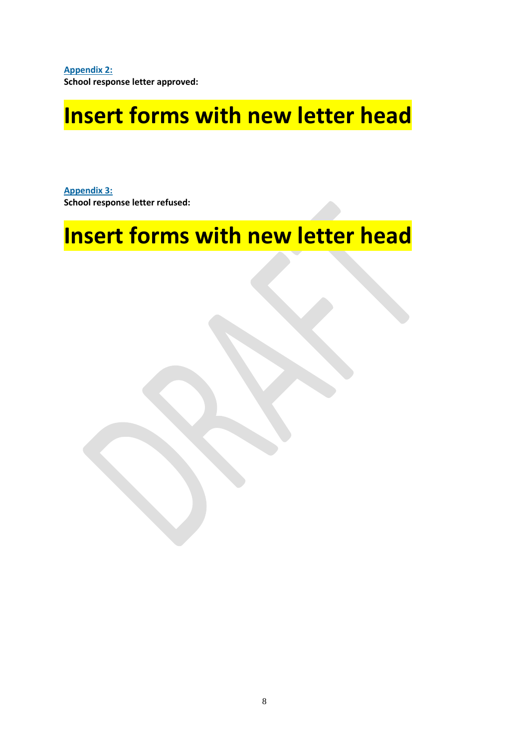**Appendix 2: School response letter approved:**

## **Insert forms with new letter head**

**Appendix 3: School response letter refused:**

# **Insert forms with new letter head**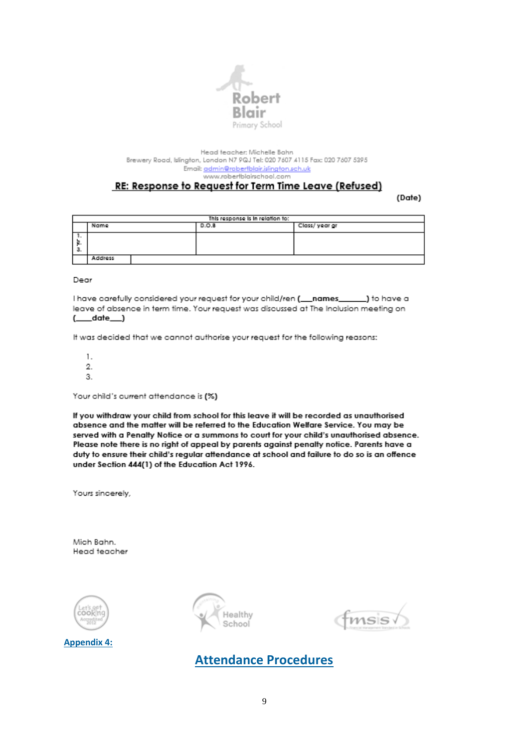

Head teacher: Michelle Bahn Brewery Road, Islington, London N7 9QJ Tel: 020 7607 4115 Fax: 020 7607 5395 Email: admin@robertblair.islington.sch.uk www.robertblairschool.com

#### RE: Response to Request for Term Time Leave (Refused)

(Date)

| This response is in relation to: |         |       |  |               |
|----------------------------------|---------|-------|--|---------------|
|                                  | Name    | D.O.B |  | Class/year gr |
| <br>з.                           |         |       |  |               |
|                                  | Address |       |  |               |

Deor

I have carefully considered your request for your child/ren (\_\_names\_ \_) to have a leave of absence in term time. Your request was discussed at The Inclusion meeting on  $(\_\_\_\$ {date\\_\\_})

It was decided that we cannot authorise your request for the following reasons:

1.  $\overline{2}$ . 3.

Your child's current attendance is (%)

If you withdraw your child from school for this leave it will be recorded as unauthorised absence and the matter will be referred to the Education Welfare Service. You may be served with a Penalty Notice or a summons to court for your child's unauthorised absence. Please note there is no right of appeal by parents against penalty notice. Parents have a duty to ensure their child's regular attendance at school and failure to do so is an offence under Section 444(1) of the Education Act 1996.

Yours sincerely,

Mich Bahn. Head teacher



**Appendix 4:**



 $msis$ 

### **Attendance Procedures**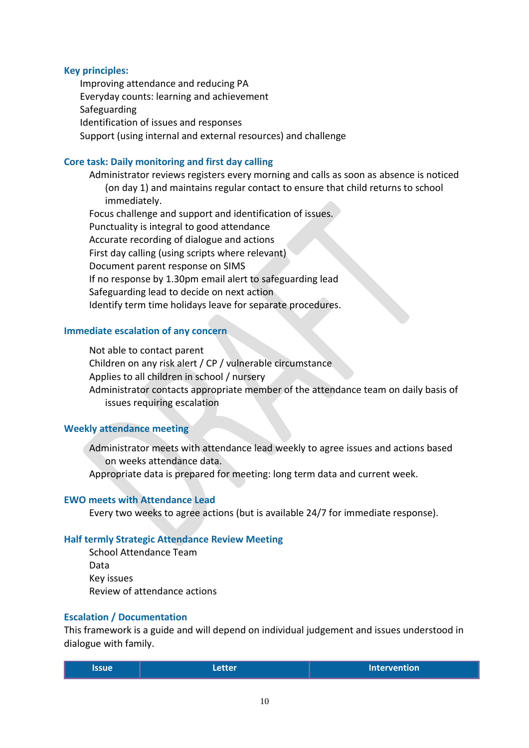#### **Key principles:**

Improving attendance and reducing PA Everyday counts: learning and achievement Safeguarding Identification of issues and responses Support (using internal and external resources) and challenge

#### **Core task: Daily monitoring and first day calling**

Administrator reviews registers every morning and calls as soon as absence is noticed (on day 1) and maintains regular contact to ensure that child returns to school immediately. Focus challenge and support and identification of issues.

Punctuality is integral to good attendance Accurate recording of dialogue and actions First day calling (using scripts where relevant) Document parent response on SIMS If no response by 1.30pm email alert to safeguarding lead Safeguarding lead to decide on next action Identify term time holidays leave for separate procedures.

#### **Immediate escalation of any concern**

Not able to contact parent Children on any risk alert / CP / vulnerable circumstance Applies to all children in school / nursery Administrator contacts appropriate member of the attendance team on daily basis of issues requiring escalation

#### **Weekly attendance meeting**

Administrator meets with attendance lead weekly to agree issues and actions based on weeks attendance data.

Appropriate data is prepared for meeting: long term data and current week.

#### **EWO meets with Attendance Lead**

Every two weeks to agree actions (but is available 24/7 for immediate response).

#### **Half termly Strategic Attendance Review Meeting**

School Attendance Team Data Key issues Review of attendance actions

#### **Escalation / Documentation**

This framework is a guide and will depend on individual judgement and issues understood in dialogue with family.

| lssue i | <b>Letter</b> | <b>Intervention</b> |
|---------|---------------|---------------------|
|---------|---------------|---------------------|